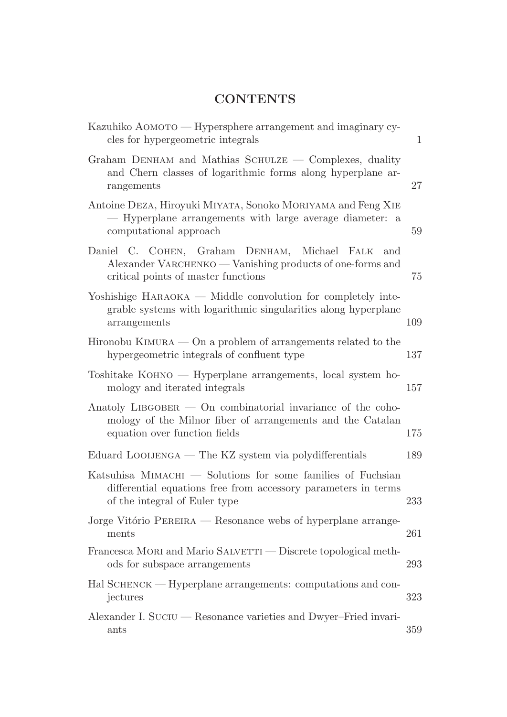## **CONTENTS**

| Kazuhiko AOMOTO — Hypersphere arrangement and imaginary cy-<br>cles for hypergeometric integrals                                                               | 1   |
|----------------------------------------------------------------------------------------------------------------------------------------------------------------|-----|
| Graham DENHAM and Mathias SCHULZE — Complexes, duality<br>and Chern classes of logarithmic forms along hyperplane ar-<br>rangements                            | 27  |
| Antoine DEZA, Hiroyuki MIYATA, Sonoko MORIYAMA and Feng XIE<br>- Hyperplane arrangements with large average diameter: a<br>computational approach              | 59  |
| Daniel C. COHEN, Graham DENHAM,<br>Michael<br>FALK<br>and<br>Alexander VARCHENKO — Vanishing products of one-forms and<br>critical points of master functions  | 75  |
| $\gamma$ Yoshishige HARAOKA — Middle convolution for completely inte-<br>grable systems with logarithmic singularities along hyperplane<br>arrangements        | 109 |
| Hironobu KIMURA $-$ On a problem of arrangements related to the<br>hypergeometric integrals of confluent type                                                  | 137 |
| $T$ oshitake KOHNO — Hyperplane arrangements, local system ho-<br>mology and iterated integrals                                                                | 157 |
| Anatoly LIBGOBER $-$ On combinatorial invariance of the coho-<br>mology of the Milnor fiber of arrangements and the Catalan<br>equation over function fields   | 175 |
| Eduard LOOIJENGA — The KZ system via polydifferentials                                                                                                         | 189 |
| Katsuhisa MIMACHI — Solutions for some families of Fuchsian<br>differential equations free from accessory parameters in terms<br>of the integral of Euler type | 233 |
| Jorge Vitório PEREIRA — Resonance webs of hyperplane arrange-<br>ments                                                                                         | 261 |
| Francesca MORI and Mario SALVETTI — Discrete topological meth-<br>ods for subspace arrangements                                                                | 293 |
| Hal SCHENCK — Hyperplane arrangements: computations and con-<br>jectures                                                                                       | 323 |
| Alexander I. SUCIU — Resonance varieties and Dwyer-Fried invari-<br>ants                                                                                       | 359 |